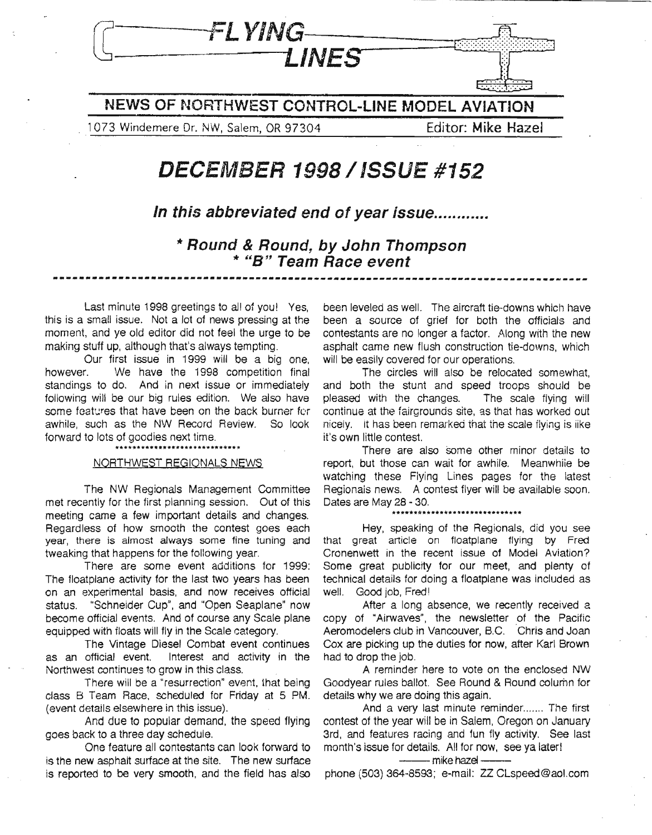

**NEWS OF NORTHWEST CONTROL-LINE MODEL AVIATION**

,1 073 Windemere Dr. NW, Salem, OR 97304 Editor: **Mike** Hazel

### **DECEMBER 1998/ISSUE #152**

**In this abbreviated end of year issue .**

**,.. Round & Round, by John Thompson ,.. 'ISH Team Race event ---..\_.--\_..\_---------------------------------------------------------------------**

Last minute 1998 greetings to all of you! Yes, this is a small issue. Not a lot of news pressing at the moment, and ye old editor did not feel the urge to be making stuff up, although that's always tempting.

OUf first issue in 1999 will be a big one, however. We have the 1998 competition final standings to do. And in next issue or immediately following will be our big rules edition. We also have some features that have been on the back burner for awhile, such as the NW Record Review. So look forward to lots of goodies next time.

### NORTHWEST REGIONALS NEWS

The NW Regionals Management Committee met recently for the first planning session. Out of this meeting came a few important details and changes. Regardless of how smooth the contest goes each year, there is almost always some fine tuning and tweaking that happens for the following year.

There are some event additions for 1999: The floatplane activity for the last two years has been on an experimental basis, and now receives official status. "Schneider Cup", and "Open Seaplane" now become official events. And of course any Scale plane equipped with floats will fly in the Scale category.

The Vintage Diesel Combat event continues as an official event. Interest and activity in the Northwest continues to grow in this class.

There will be a "resurrection" event, that being class B Team Race. scheduled for Friday at 5 PM. (event details elsewhere in this issue).

And due to popular demand. the speed flying goes back to a three day schedule.

One feature all contestants can look forward to is the new asphalt surface at the site. The new surface is reported to be very smooth, and the field has also

been leveled as well. The aircraft tie-downs which have been a source of grief for both the officials and contestants are no longer a factor. Along with the new asphalt came new flush construction tie-downs, which will be easily covered for our operations.

The circles will also be relocated somewhat, and both the stunt and speed troops should be pleased with the changes. The scale fiying will continue at the fairgrounds site, as that has worked out nicely. it has been remarked that the scale flying is iike it's own little contest.

There are also some other minor details to report, but those can wait for awhile. Meanwhiie be watching these Flying Lines pages for the latest Regionais news. A contest flyer will be available soon. Dates are May 28 - 30.

Hey, speaking of the Regionals, did you see that great article on floatplane flying by Fred Cronenwett in the recent issue of Model Aviation? Some great publicity for our meet, and plenty of technical details for doing a floatplane was included as well. Good job, Fred!

After a long absence, we recently received a copy of "Airwaves", the newsletter of the Pacific Aeromodelers club in Vancouver, B.C. 'Chris and Joan Cox are picking up the duties for now, after Karl Brown had to drop the job.

A reminder here to vote on the enclosed NW Goodyear rules ballot. See Round & Round column for details why we are doing this again.

And a very last minute reminder....... The first contest of the year will be in Salem, Oregon on January 3rd, and features racing and fun fly activity. See last month's issue for details. All for now, see ya laterl --mike hazel--

phone (503) 364-8593; e-mail: ZZ CLspeed@aol.com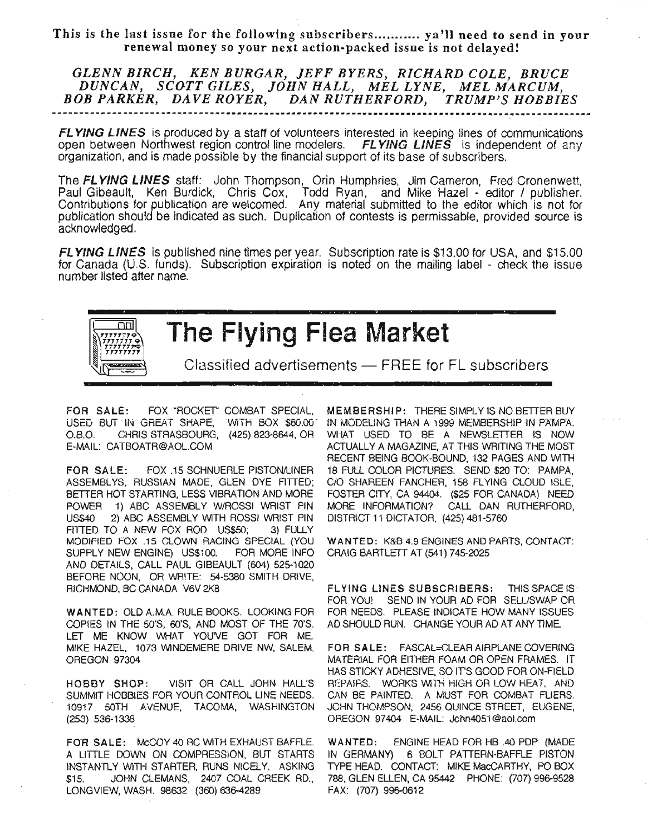This is the last issue for the following subscribers........... ya'll need to send in your renewal money so your next action-packed issue is not delayed!

*GLENN BIRCH, KEN BURGAR, JEFF BYERS, RICHARD COLE, BRUCE DUNCAN, SCOTT GILES, JOHN HALL, MEL LYNE, MEL MARCUM,* BOB PARKER, DAVE ROYER, DAN RUTHERFORD, TRUMP'S HOBBIES

FL YING LINES is produced by a staff of volunteers interested in keeping lines of communications open between Northwest region control line modelers. FLYING LINES is independent of any organization, and is made possible by the financial support of its base of subscribers.

The FL YING LINES staff: John Thompson, Orin Humphries, Jim Cameron, Fred Cronenwett, Paul Gibeault, Ken Burdick, Chris Cox, Todd Ryan, and Mike Hazel - editor / publisher. Contributions for publication are welcomed. Any material submitted to the editor which is not for publication should be indicated as such. Duplication of contests is permissable, provided source is acknowledged.

FL YING LINES is published nine times per year. Subscription rate is \$13.00 for USA, and \$15.00 for Canada (U.S. funds). Subscription expiration is noted on the mailing label - check the issue number listed after name,



## The Flying Flea Market

Classified advertisements - FREE for FL subscribers

FOR SALE: FOX "ROCKET' COMBAT SPECIAL, USED BUT IN GREAT SHAPE, WITH BOX \$60.00 0.8.0. CHRIS STRASBOURG, (425) 823-8644, OR E-MAIL: CATBOATR@AOL.COM

FOR SALE: FOX .15 SCHNUERLE PISTONILINER ASSEMBLYS, RUSSIAN MADE, GLEN DYE FITIED; BETTER HOT STARTING, LESS VIBRATION AND MORE POWER 1) ABC ASSEMBLY W/ROSSI WRIST PIN US\$40 2) ABC ASSEMBLY WITH ROSSI WRIST PIN FITTED TO A NEW FOX ROD US\$50; 3) FULLY MODIFIED FOX .15 CLOWN RACING SPECIAL (YOU SUPPLY NEW ENGINE) US\$100. FOR MORE INFO AND DETAILS, CALL PAUL GIBEAULT (604) 525-1020 BEFORE NOON, OR WR!TE: 54-5380 SMITH DRIVE, RICHMOND, BC CANADA V6V 2K8

WANTED: OLD A.M.A. RULE BOOKS. LOOKING FOR COPIES IN THE 50'S, 60'S, AND MOST OF THE 70'S. LET ME KNOW WHAT YOUVE GOT FOR ME. MIKE HAZEL, 1073 WINDEMERE DRIVE NW, SALEM, OREGON 97304

HOBBY SHOP: VIS!T OR CALL JOHN HALL'S SUMMIT HOBBIES FOR YOUR CONTROL LINE NEEDS. 10917 50TH AVENUE, TACOMA, WASHINGTON (253) 536-1338

FOR SALE: McCOY 40 RC WITH EXHAUST BAFFLE. A LITTLE DOWN ON COMPRESSION, BUT STARTS INSTANTLY WITH STARTER, RUNS NICELY. ASKING \$15. JOHN CLEMANS, 2407 COAL CREEK RD., LONGVIEW, WASH. 98632 (360) 636-4289

MEMBERSHIP: THERE SIMPLY IS NO BETTER BUY IN MODELING THAN A 1999 MEMBERSHiP IN PAMPA. WHAT USED TO BE A NEWSLETTER IS NOW ACTUALLY A MAGAZINE, AT THIS WRITING THE MOST RECENT BEING BOOK-BOUND, 132 PAGES AND WITH 18 FULL COLOR PICTURES. SEND \$20 TO: PAMPA, CIO SHAREEN FANCHER, 158 FLYING CLOUD ISLE, FOSTER CITY, CA 94404. (\$25 FOR CANADA) NEED MORE INFORMATION? CALL DAN RUTHERFORD, DISTRICT 11 DICTATOR, (425) 481-5760

WANTED: K&B 4.9 ENGiNES AND PARTS, CONTACT: CRAIG BARTLETT AT (541) 745-2025

FLYING LINES SUBSCRIBERS: THIS SPACE IS' FOR YOU! SEND IN YOUR AD FOR SELL/SWAP OR FOR NEEDS. PLEASE INDICATE HOW MANY ISSUES AD SHOULD RUN. CHANGE YOUR AD AT ANY TIME.

FOR SALE: FASCAL=CLEAR AIRPLANE COVERING MATERIAL FOR EITHER FOAM OR OPEN FRAMES. IT HAS STICKY ADHESIVE, SO IT'S GOOD FOR ON-FIELD REPAIRS. WORKS WITH HIGH OR LOW HEAT, AND CAN BE PAINTED. A MUST FOR COMBAT FLIERS. JOHN THOMPSON, 2456 QUINCE STREET, EUGENE, OREGON 97404 E-MAIL: John4051@aol.com

WANTED: ENGINE HEAD FOR HB *040* PDP (MADE IN GERMANY) 6 BOLT PATTERN-BAFFLE PISTON TYPE HEAD. CONTACT: MIKE MacCARTHY, PO BOX 788, GLEN ELLEN, CA 95442 PHONE: (707) 996-9528 FAX: (707) 996-0612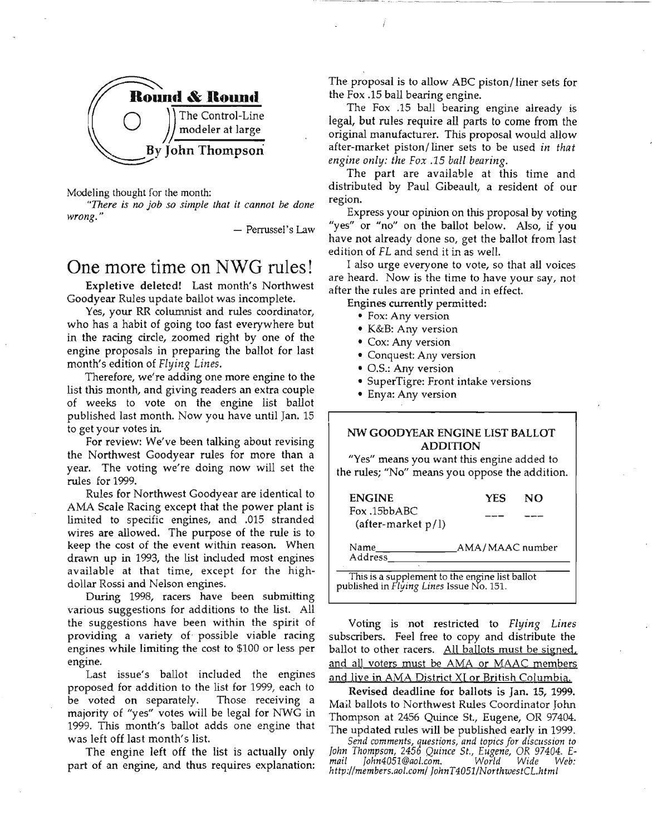

Modeling thought for the month:

*"There* is no job so simple that it cannot be done *wrong."*

- Perrussel's Law

### One more time on NWG rules!

Expletive deleted! Last month's Northwest Goodyear Rules update ballot was incomplete.

Yes, your RR columnist and rules coordinator, who has a habit of going too fast everywhere but in the racing circle, zoomed right by one of the engine proposals in preparing the ballot for last month's edition of *Flying Lines.*

Therefore, we're adding one more engine to the list this month, and giving readers an extra couple of weeks to vote on the engine list ballot published last month. Now you have until Jan. 15 to get your votes in.

For review: We've been talking about revising the Northwest Goodyear rules for more than a year. The voting we're doing now will set the rules for 1999.

Rules for Northwest Goodyear are identical to AMA Scale Racing except that the power plant is limited to specific engines, and .015 stranded wires are allowed. The purpose of the rule is to keep the cost of the event within reason. When drawn up in 1993, the list included most engines available at that time, except for the highdollar Rossi and Nelson engines.

During 1998, racers have been submitting various suggestions for additions to the list. All the suggestions have been within the spirit of providing a variety of- possible viable racing engines while limiting the cost to \$100 or less per engine.

Last issue's ballot included the engines proposed for addition to the list for 1999, each to be voted on separately. Those receiving a majority of "yes" votes will be legal for NWG in 1999. This month's ballot adds one engine that was left off last month's list.

The engine left off the list is actually only part of an engine, and thus requires explanation:

The proposal is to allow ABC piston/liner sets for the Fox .15 ball bearing engine.

The Fox .15 ball bearing engine already is legal, but rules require all parts to come from the original manufacturer. This proposal would allow after-market piston/ liner sets to be used *in that engine only: the Fox* .15 *ball bearing.*

The part are available at this time and distributed by Paul Gibeault, a resident of our region.

Express your opinion on this proposal by voting "yes" or "no" on the ballot below. Also, if you have not already done so, get the ballot from last edition of FL and send it in as well.

I also urge everyone to vote, so that all voices are heard. Now is the time to have your say, not after the rules are printed and in effect.

Engines currently permitted:

- Fox: Any version
- K&B: Any version
- Cox: Any version
- Conquest: Any version
- 0.5.: Any version
- SuperTigre: Front intake versions
- Enya: Any version

#### NW GOODYEAR ENGINE LIST BALLOT ADDITION

"Yes" means you want this engine added to the rules; "No" means you oppose the addition.

| <b>ENGINE</b>                                                                             | <b>YES</b>      | NΟ |
|-------------------------------------------------------------------------------------------|-----------------|----|
| Fox.15bbABC<br>(after-market $p/l$ )                                                      |                 |    |
| Name<br>Address                                                                           | AMA/MAAC number |    |
| This is a supplement to the engine list ballot<br>ublished in Flying Lines Issue No. 151. |                 |    |
|                                                                                           |                 |    |

Voting is not restricted to *Flying Lines* subscribers. Feel free to copy and distribute the ballot to other racers. All ballots must be signed. and all voters must be AMA or MAAC members and live in AMA District XI or British Columbia.

Revised deadline for ballots is Jan. 15, 1999. Mail ballots to Northwest Rules Coordinator John Thompson at 2456 Quince St., Eugene, OR 97404. The updated rules will be published early in 1999.

*Send comments, questions, and topics for discussion* to *John Thompson,* 2456 *Quince* St., *Eugene,* OR *97404. Email John4051@aol.com. World Wide Web: http://members.aol.com/JohnT4051INorthwestCL.html*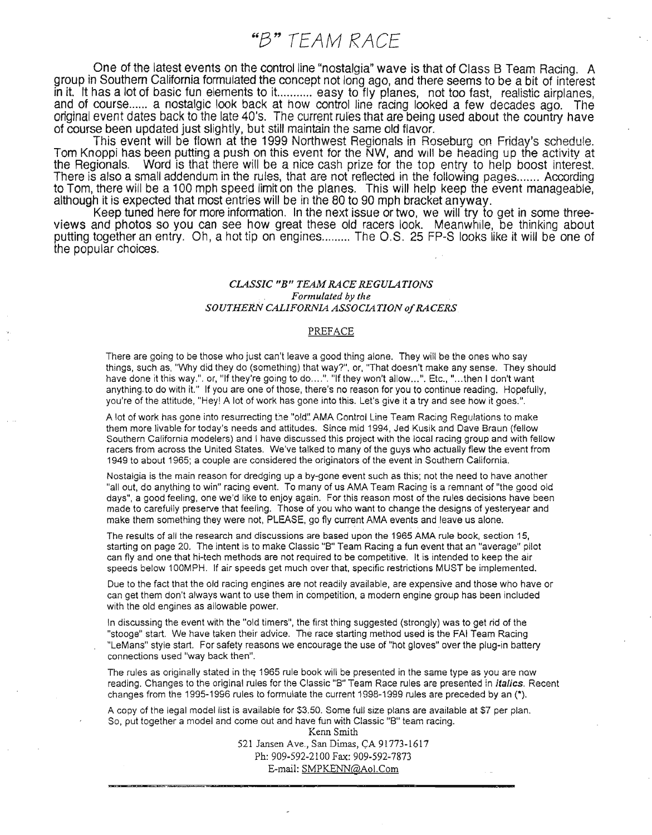"8" TEAM RACE

One of the latest events on the control line "nostalgia" wave is that of Class B Team Racing. A group in Southern California formulated the concept not long ago, and there seems to be a bit of interest in it. It has a lot of basic fun elements to it.......... easy to fly planes, not too fast, realistic airplanes, and of course ...... a nostalgic look back at how control line rading looked a few decades ago. The original event dates back to the late 40's. The current rules that are being used about the country have of course been updated just slightly, but still maintain the same old flavor.

This event will be flown at the 1999 Northwest Regionals in Roseburg on Friday's schedule. Tom Knoppi has been putting a push on this event for the NW, and will be heading up the activity at the Regionals. Word is that there will be a nice cash prize for the top entry to help boost interest. There is also a small addendum in the rules, that are not reflected in the following pages....... According to Tom, there will be a 100 mph speed limit on the planes. This will help keep the event manageable, although it is expected that most entries will be in the 80 to 90 mph bracket anyway.

Keep tuned here for more information. In the next issue or two, we will try to get in some threeviews and photos so you can see how great these old racers look. Meanwhile, be thinking about putting together an entry. Oh, a hot tip on engines ......... The O.S. 25 FP-S looks like it will be one of the popular choices.

#### *CLASSIC "B" TEAM RACE REGULATIONS . Formulated* by *tile* **SOUTHERN CALIFORNIA ASSOCIATION of RACERS**

#### PREFACE

There are going to be those who just can't leave a good thing alone. They will be the ones who say things, such as, "Why did they do (something) that way?", or, "That doesn't make any sense. They should have done it this way.". or, "If they're going to do....". "If they won't allow...". Etc., "...then I don't want anything. to do with it." If you are one of those, there's no reason for you to continue reading. Hopefully, you're of the attitude, "Hey! A lot of work has gone into this. Let's give it a try and see how it goes.".

A lot of work has gone into resurrecting the "old". AMA Control Line Team Racing Regulations to make them more livable for today's needs and attitudes. Since mid 1994, Jed Kusik and Dave Braun (fellow Southern California modelers) and I have discussed this project with the local racing group and with fellow racers from across the United States. We've talked to many of the guys who actually flew the event from 1949 to about 1965; a couple are considered the originators of the event in Southern California.

Nostalgia is the main reason for dredging up a by-gone event such as this; not the need to have another "all out, do anything to win" racing event. To many of us AMA Team Racing is a remnant of "the good old days", a good feeling, one we'd like to enjoy again. For this reason most of the rules decisions have been made to carefully preserve that feeling. Those of you who want to change the designs of yesteryear and make them something they were not, PLEASE, go fly current AMA events and leave us alone.

The results of all the research and discussions are based upon the 1965 AMA rule book, section 15, starting on page 20. The intent is to make Classic "B" Team Racing a fun event that an "average" pilot can fly and one that hi-tech methods are not required to be competitive. It is intended to keep the air speeds below 100MPH. If air speeds get much over that, specific restrictions MUST be implemented.

Due to the fact that the old racing engines are not readily available, are expensive and those who have or can get them don't always want to use them in competition, a modern engine group has been included with the old engines as allowable power.

In discussing the event with the "old timers", the first thing suggested (strongly) was to get rid of the "stooge" start. We have taken their advice. The race starting method used is the FAI Team Racing "LeMans" style start. For safety reasons we encourage the use of "hot gloves" over the plug-in battery connections used "way back then".

The rules as originally stated in the 1965 rule book will be presented in the same type as you are now reading. Changes to the original rules for the Classic "B" Team Race rules are presented in *italics*. Recent changes from the 1995-1996 rules to formulate the current 1998-1999 rules are preceded by an (\*).

A copy of the legal model list is available for \$3.50. Some full size plans are available at \$7 per plan. So, put together a model and come out and have fun with Classic "8" team racing.

Kenn Smith 521 Jansen Ave., San Dimas, CA 91773-1617 Ph: 909-592-2100 Fax: 909-592~7873 E-mail: SMPKENN@AoI.Com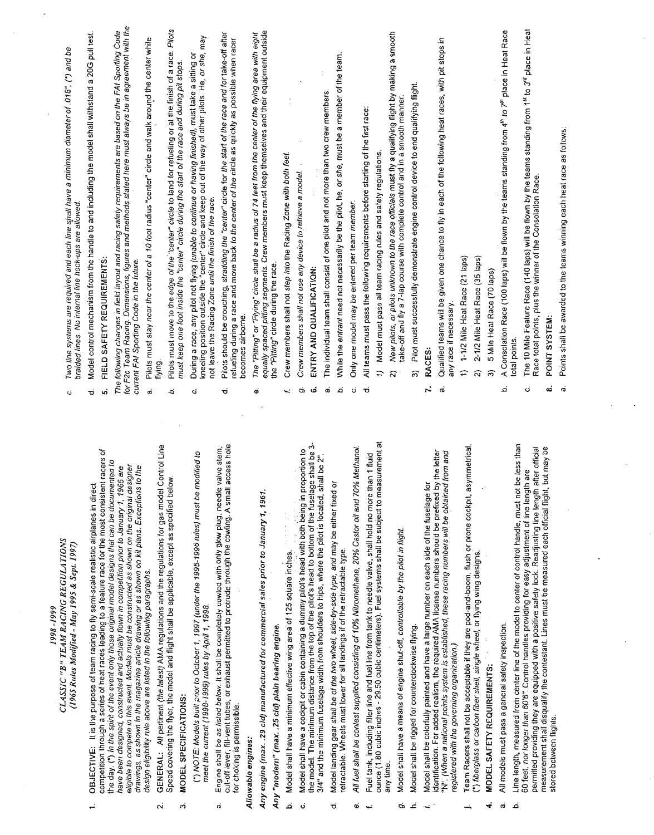| Two line systems are required and each line shall have a minimum diameter of .018", (*) and be<br>braided lines. No internal line hook-ups are allowed.<br>ت | Model control mechanism from the handle to and including the model shall withstand a 20G pull test.<br>ರ | FIELD SAFETY REQUIREMENTS:<br>ьó                                                                                                                                                                              | for F2c Team Racing. Dimensions, figures and methods stated here must always be in agreement with the<br>The following changes in field layout and racing safety requirements are based on the FAI Sporting Code<br>current FAI Sporting Code in the future.                                           | Pilots must stay near the center of a 10 foot radius "center" circle and walk around the center while<br>flying.<br>σá                                                               | Pilols must move to the edge of the "center" circle to land for refueling or at the finish of a race. Pilots<br>must keep one foot inside the "center" circle during the start of the race and during pit stops.<br>b. | During a race, any pilot not flying <i>(unable to continue or having finished),</i> must take a sitting or<br>kneeling position outside the "center" circle and keep out of the way of other pilots. He, or she, may<br>not leave the Racing Zone until the finish of the race.<br>Ġ | Pilots should be crouching, straddling the "center" circle for the start of the race and for take-off after<br>refueling during a race and move back to the center of the circle as quickly as possible when racer<br>becomes airbome.<br>σ                  | The "Pitting" or "Flying" circle shall be a radius of 74 feet from the center of the flying area with eight | equally spaced pitting segments. Crew members must keep themselves and their equipment outside<br>the "Piting" circle during the race.<br>ø | Crew members shall not step into the Racing Zone with both feet.<br>l.    | Crew members shall not use any device to retrieve a model.<br>ರು                                     | ENTRY AND QUALIFICATION:<br>ئە                                                                                                                                                                                     | The individual team shall consist of one pilot and not more than two crew members.<br>σû    | While the entrant need not necessarily be the pilot, he, or she, must be a member of the team.<br>نم | Only one model may be entered per team member.<br>Ö,                                                | All teams must pass the following requirements before starting of the first race<br>ರ                     | Model must pass all team racing rules and safety regulations.<br>$\tilde{u}$                                      | New pilots, or pilots unknown to the race officials must fly a qualifying flight by making a smooth<br>take-off and fly a 7-lap course with complete control and in a smooth manner.<br>ন | Pilot must successfully demonstrate engine control device to end qualifying flight.<br>ລີ | RACES:<br>$\ddot{r}$                                                                                                                                                                               | Qualified teams will be given one chance to fly in each of the following heat races, with pit stops in<br>any race if necessary.<br>æ              | 1-1/2 Mile Heat Race (21 laps)<br>$\hat{r}$                                                         | 2-1/2 Mile Heat Race (35 laps)<br>ন                                         | 5 Mile Heat Race (70 laps)<br>6        | A Consolation Race (100 laps) will be flown by the teams standing from 4th to 7th place in Heat Race<br>نم | The 10 Mile Feature Race (140 laps) will be flown by the teams standing from 1st to 3rd place in Heat<br>total points.<br>c                                                                                                                                                                                                                 | Race total points, plus the winner of the Consolation Race.<br>POINT SYSTEM:<br>ထံ                      |                         |
|--------------------------------------------------------------------------------------------------------------------------------------------------------------|----------------------------------------------------------------------------------------------------------|---------------------------------------------------------------------------------------------------------------------------------------------------------------------------------------------------------------|--------------------------------------------------------------------------------------------------------------------------------------------------------------------------------------------------------------------------------------------------------------------------------------------------------|--------------------------------------------------------------------------------------------------------------------------------------------------------------------------------------|------------------------------------------------------------------------------------------------------------------------------------------------------------------------------------------------------------------------|--------------------------------------------------------------------------------------------------------------------------------------------------------------------------------------------------------------------------------------------------------------------------------------|--------------------------------------------------------------------------------------------------------------------------------------------------------------------------------------------------------------------------------------------------------------|-------------------------------------------------------------------------------------------------------------|---------------------------------------------------------------------------------------------------------------------------------------------|---------------------------------------------------------------------------|------------------------------------------------------------------------------------------------------|--------------------------------------------------------------------------------------------------------------------------------------------------------------------------------------------------------------------|---------------------------------------------------------------------------------------------|------------------------------------------------------------------------------------------------------|-----------------------------------------------------------------------------------------------------|-----------------------------------------------------------------------------------------------------------|-------------------------------------------------------------------------------------------------------------------|-------------------------------------------------------------------------------------------------------------------------------------------------------------------------------------------|-------------------------------------------------------------------------------------------|----------------------------------------------------------------------------------------------------------------------------------------------------------------------------------------------------|----------------------------------------------------------------------------------------------------------------------------------------------------|-----------------------------------------------------------------------------------------------------|-----------------------------------------------------------------------------|----------------------------------------|------------------------------------------------------------------------------------------------------------|---------------------------------------------------------------------------------------------------------------------------------------------------------------------------------------------------------------------------------------------------------------------------------------------------------------------------------------------|---------------------------------------------------------------------------------------------------------|-------------------------|
| CLASSIC "B" TEAM RACING REGULATIONS<br>(1965 Rules Modified - May 1995 & Sept. 1997)                                                                         | OBJECTIVE: It is the purpose of team racing to fly semi-scale realistic airplanes in direct              | competition through a series of heat races leading to a feature race for the most consistent racers of<br>the day. (*) In the spirit of the event only those original model designs that can be documented to | eligible to compete in this event. Models must be constructed as shown on the original designer<br>to the<br>have been designed, constructed and actually flown in competition prior to January 1, 1966 are<br>drawings, as shown in the magazine article drawing or as shown on kit plans. Exceptions | Control Line<br>GENERAL: All pertinent (the latest) AMA regulations and the regulations for gas model<br>design eligibility rule above are listed in the following paragraphs.<br>٨i | Speed covering the flyer, the model and flight shall be applicable, except as specified below.<br>MODEL SPECIFICATIONS:<br>ო                                                                                           | (*) NOTE: Models buill prior to Oclober 1, 1997 (under the 1995-1996 rules) must be modified to<br>meet the current (1998-1999) rules by April 1, 1998.                                                                                                                              | access hole<br>valve stem<br>Engine shall be as listed below. It shall be completely cowled with only glow plug, needle<br>cut-off lever, fill-vent tubes, or exhaust permitted to protrude through the cowling. A small<br>for choking is permissible.<br>ಣ | Allowable engines:                                                                                          | Any engine (max. . 29 cid) manufactured for commercial sales prior to January 1, 1961.<br>Any "modern" (max. .25 cid) plain bearing engine. | Model shall have a minimum effective wing area of 125 square inches.<br>م | Model shall have a cockpit or cabin containing a dummy pilot's head with both being in proportion to | le shall be 3-<br>3/4" and the minimum fuselage width from shoulders to hips, where the pilot is located, shall be 2"<br>the model. The minimum distance from the top of the pilot's head to bottom of the fuselag | Model landing gear shall be of the two wheel, side-by-side type, and may be either fixed or | retractable. Wheels must lower for all landings if of the retractable type.                          | All fuel shall be contest supplied consisting of 10% Nitromethane, 20% Castor oil and 70% Methanol. | Fuel tank, including filler line and fuel line from tank to needle valve, shall hold no more than 1 fluid | ounce (1.80 cubic inches - 29.50 cubic centimeters). Fuel systems shall be subject to measurement at<br>any time. | Model shall have a means of engine shut-off, controllable by the pilot in flight.                                                                                                         | Model shall be rigged for counterclockwise flying.                                        | identification. For added realism, the required AMA license numbers should be prefixed by the letter<br>Model shall be coloriully painted and have a large number on each side of the fuselage for | "N". [When a national points system is established, these racing numbers will be obtained from and<br>registered with the governing organization.) | Team Racers shall not be acceptable if they are pod-and-boom. flush or prone cockpit, asymmetrical, | (*) fiberglass or carbon fiber shell, single wheel, or flying wing designs. | <b>MODEL SAFETY REQUIREMENTS:</b><br>4 | All models must pass a general safety inspection.<br>ಡ                                                     | be less than<br>after official<br>60 feet, <i>nor longer than 60'6"</i> . Control handles providing for easy adjustment of line length are<br>permitted providing they are equipped with a positive safety lock. Readjusting line length after<br>Line length, measured from center line of the model to center of control handle, must not | but may be<br>measurement shall disqualify the contestant. Lines must be measured each official flight, | stored between flights. |

1998 -1999

 $\div$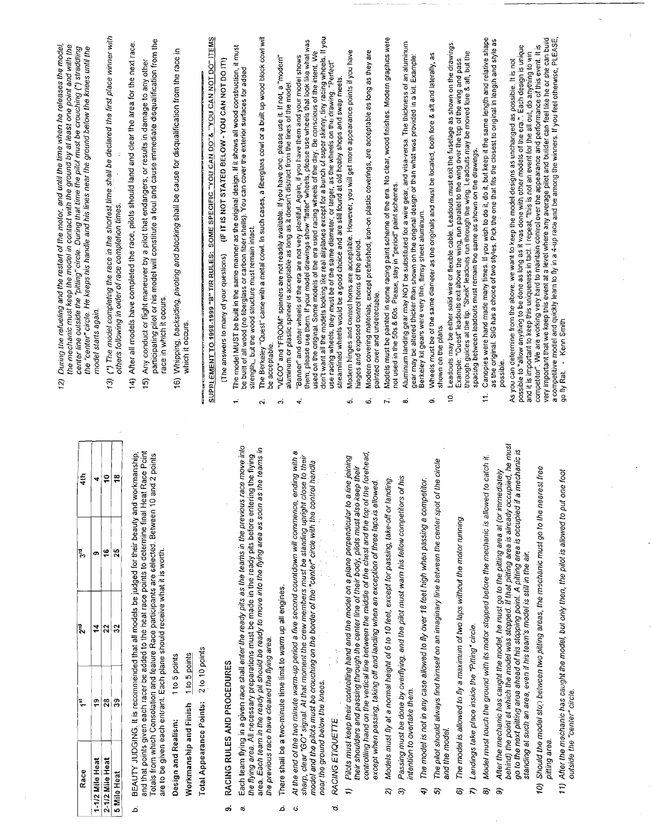Ŷ,

l,